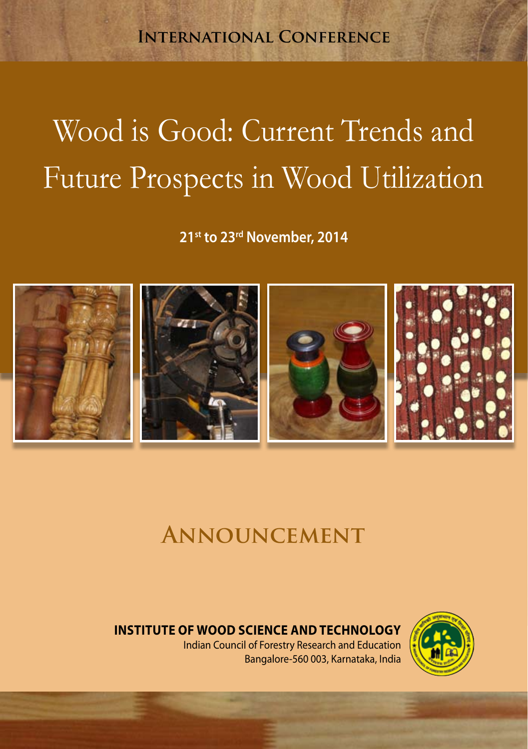**International Conference**

# Wood is Good: Current Trends and Future Prospects in Wood Utilization

**21st to 23rd November, 2014**



# **Announcement**

### **Institute of WOod Science and Technology**

Indian Council of Forestry Research and Education Bangalore-560 003, Karnataka, India

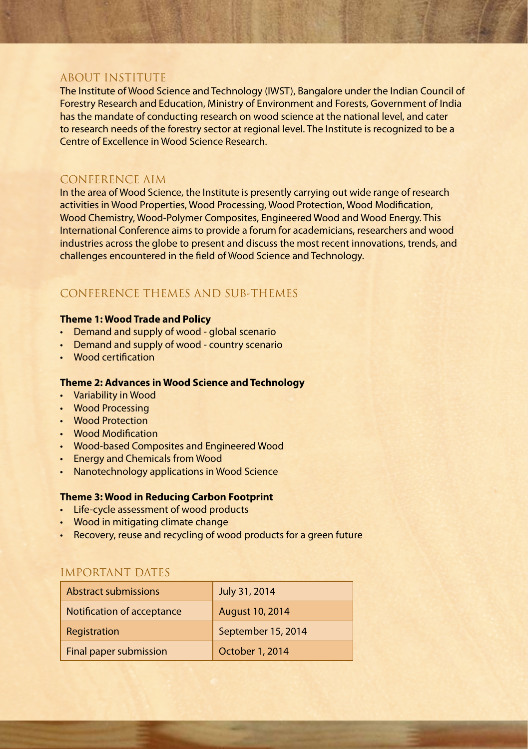#### ABOUT INSTITUTE

The Institute of Wood Science and Technology (IWST), Bangalore under the Indian Council of Forestry Research and Education, Ministry of Environment and Forests, Government of India has the mandate of conducting research on wood science at the national level, and cater to research needs of the forestry sector at regional level. The Institute is recognized to be a Centre of Excellence in Wood Science Research.

#### CONFERENCE AIM

In the area of Wood Science, the Institute is presently carrying out wide range of research activities in Wood Properties, Wood Processing, Wood Protection, Wood Modification, Wood Chemistry, Wood-Polymer Composites, Engineered Wood and Wood Energy. This International Conference aims to provide a forum for academicians, researchers and wood industries across the globe to present and discuss the most recent innovations, trends, and challenges encountered in the field of Wood Science and Technology.

#### CONFERENCE THEMES AND SUB-THEMES

#### **Theme 1: Wood Trade and Policy**

- Demand and supply of wood global scenario
- Demand and supply of wood country scenario
- Wood certification

#### **Theme 2: Advances in Wood Science and Technology**

- • Variability in Wood
- • Wood Processing
- • Wood Protection
- • Wood Modification
- • Wood-based Composites and Engineered Wood
- **Energy and Chemicals from Wood**
- Nanotechnology applications in Wood Science

#### **Theme 3: Wood in Reducing Carbon Footprint**

- • Life-cycle assessment of wood products
- Wood in mitigating climate change
- Recovery, reuse and recycling of wood products for a green future

#### IMPORTANT DATES

| Abstract submissions       | July 31, 2014          |
|----------------------------|------------------------|
| Notification of acceptance | <b>August 10, 2014</b> |
| Registration               | September 15, 2014     |
| Final paper submission     | October 1, 2014        |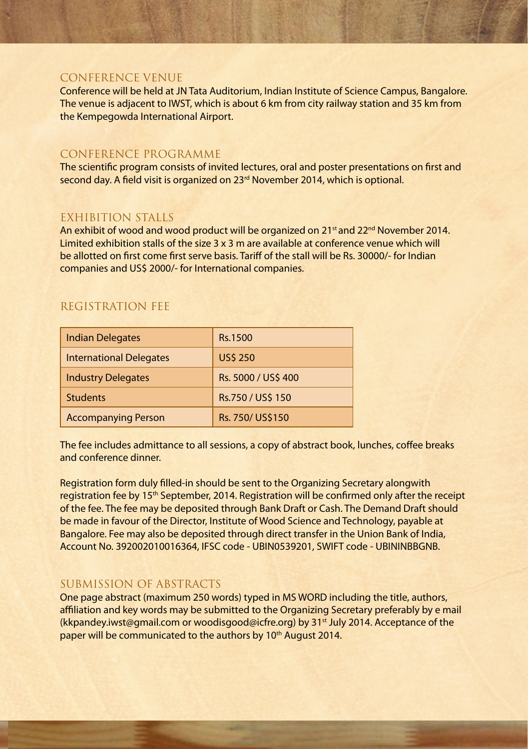#### CONFERENCE VENUE

Conference will be held at JN Tata Auditorium, Indian Institute of Science Campus, Bangalore. The venue is adjacent to IWST, which is about 6 km from city railway station and 35 km from the Kempegowda International Airport.

#### CONFERENCE PROGRAMME

The scientific program consists of invited lectures, oral and poster presentations on first and second day. A field visit is organized on 23<sup>rd</sup> November 2014, which is optional.

#### EXHIBITION STALLS

An exhibit of wood and wood product will be organized on 21<sup>st</sup> and 22<sup>nd</sup> November 2014. Limited exhibition stalls of the size 3 x 3 m are available at conference venue which will be allotted on first come first serve basis. Tariff of the stall will be Rs. 30000/- for Indian companies and US\$ 2000/- for International companies.

#### REGISTRATION FEE

| <b>Indian Delegates</b>        | <b>Rs.1500</b>      |
|--------------------------------|---------------------|
| <b>International Delegates</b> | <b>US\$ 250</b>     |
| <b>Industry Delegates</b>      | Rs. 5000 / US\$ 400 |
| <b>Students</b>                | Rs.750 / US\$ 150   |
| <b>Accompanying Person</b>     | Rs. 750/ US\$150    |

The fee includes admittance to all sessions, a copy of abstract book, lunches, coffee breaks and conference dinner.

Registration form duly filled-in should be sent to the Organizing Secretary alongwith registration fee by 15<sup>th</sup> September, 2014. Registration will be confirmed only after the receipt of the fee. The fee may be deposited through Bank Draft or Cash. The Demand Draft should be made in favour of the Director, Institute of Wood Science and Technology, payable at Bangalore. Fee may also be deposited through direct transfer in the Union Bank of India, Account No. 392002010016364, IFSC code - UBIN0539201, SWIFT code - UBININBBGNB.

#### SUBMISSION OF ABSTRACTS

One page abstract (maximum 250 words) typed in MS WORD including the title, authors, affiliation and key words may be submitted to the Organizing Secretary preferably by e mail (kkpandey.iwst@gmail.com or woodisgood@icfre.org) by 31st July 2014. Acceptance of the paper will be communicated to the authors by 10<sup>th</sup> August 2014.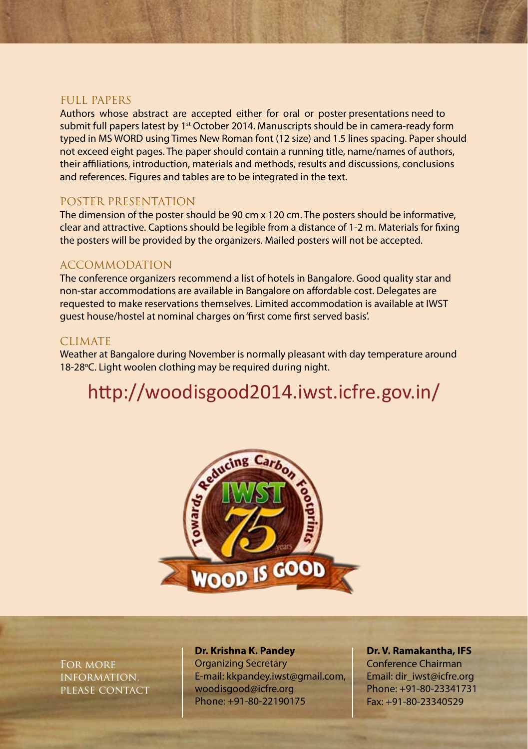#### FULL PAPERS

Authors whose abstract are accepted either for oral or poster presentations need to submit full papers latest by 1<sup>st</sup> October 2014. Manuscripts should be in camera-ready form typed in MS WORD using Times New Roman font (12 size) and 1.5 lines spacing. Paper should not exceed eight pages. The paper should contain a running title, name/names of authors, their affiliations, introduction, materials and methods, results and discussions, conclusions and references. Figures and tables are to be integrated in the text.

#### POSTER PRESENTATION

The dimension of the poster should be 90 cm x 120 cm. The posters should be informative, clear and attractive. Captions should be legible from a distance of 1-2 m. Materials for fixing the posters will be provided by the organizers. Mailed posters will not be accepted.

#### ACCOMMODATION

The conference organizers recommend a list of hotels in Bangalore. Good quality star and non-star accommodations are available in Bangalore on affordable cost. Delegates are requested to make reservations themselves. Limited accommodation is available at IWST guest house/hostel at nominal charges on 'first come first served basis'.

#### CLIMATE

Weather at Bangalore during November is normally pleasant with day temperature around 18-28°C. Light woolen clothing may be required during night.

## http://woodisgood2014.iwst.icfre.gov.in/



For more information, please contact

#### **Dr. Krishna K. Pandey** Organizing Secretary E-mail: kkpandey.iwst@gmail.com, woodisgood@icfre.org Phone: +91-80-22190175

**Dr. V. Ramakantha, IFS** Conference Chairman Email: dir\_iwst@icfre.org Phone: +91-80-23341731 Fax: +91-80-23340529